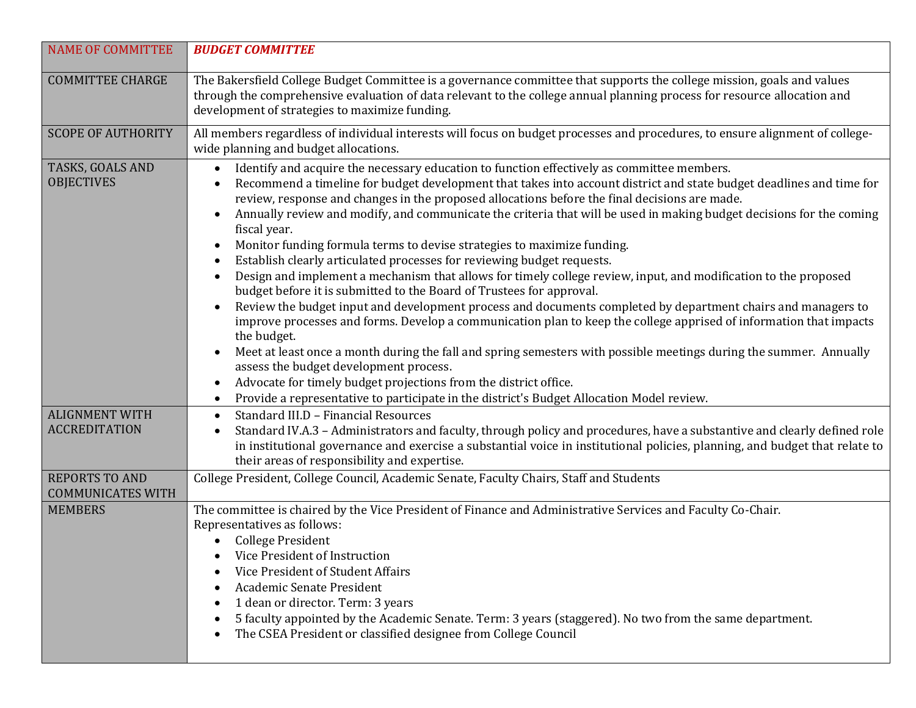| <b>NAME OF COMMITTEE</b>                          | <b>BUDGET COMMITTEE</b>                                                                                                                                                                                                                                                                                                                                                                                                                                                                                                                                                                                                                                                                                                                                                                                                                                                                                                                                                                                                                                                                                                                                                                                                                                                                                                                                                                         |
|---------------------------------------------------|-------------------------------------------------------------------------------------------------------------------------------------------------------------------------------------------------------------------------------------------------------------------------------------------------------------------------------------------------------------------------------------------------------------------------------------------------------------------------------------------------------------------------------------------------------------------------------------------------------------------------------------------------------------------------------------------------------------------------------------------------------------------------------------------------------------------------------------------------------------------------------------------------------------------------------------------------------------------------------------------------------------------------------------------------------------------------------------------------------------------------------------------------------------------------------------------------------------------------------------------------------------------------------------------------------------------------------------------------------------------------------------------------|
| <b>COMMITTEE CHARGE</b>                           | The Bakersfield College Budget Committee is a governance committee that supports the college mission, goals and values<br>through the comprehensive evaluation of data relevant to the college annual planning process for resource allocation and<br>development of strategies to maximize funding.                                                                                                                                                                                                                                                                                                                                                                                                                                                                                                                                                                                                                                                                                                                                                                                                                                                                                                                                                                                                                                                                                            |
| <b>SCOPE OF AUTHORITY</b>                         | All members regardless of individual interests will focus on budget processes and procedures, to ensure alignment of college-<br>wide planning and budget allocations.                                                                                                                                                                                                                                                                                                                                                                                                                                                                                                                                                                                                                                                                                                                                                                                                                                                                                                                                                                                                                                                                                                                                                                                                                          |
| TASKS, GOALS AND<br><b>OBJECTIVES</b>             | Identify and acquire the necessary education to function effectively as committee members.<br>$\bullet$<br>Recommend a timeline for budget development that takes into account district and state budget deadlines and time for<br>$\bullet$<br>review, response and changes in the proposed allocations before the final decisions are made.<br>Annually review and modify, and communicate the criteria that will be used in making budget decisions for the coming<br>fiscal year.<br>Monitor funding formula terms to devise strategies to maximize funding.<br>$\bullet$<br>Establish clearly articulated processes for reviewing budget requests.<br>$\bullet$<br>Design and implement a mechanism that allows for timely college review, input, and modification to the proposed<br>$\bullet$<br>budget before it is submitted to the Board of Trustees for approval.<br>Review the budget input and development process and documents completed by department chairs and managers to<br>improve processes and forms. Develop a communication plan to keep the college apprised of information that impacts<br>the budget.<br>Meet at least once a month during the fall and spring semesters with possible meetings during the summer. Annually<br>$\bullet$<br>assess the budget development process.<br>Advocate for timely budget projections from the district office.<br>$\bullet$ |
|                                                   | Provide a representative to participate in the district's Budget Allocation Model review.<br>$\bullet$                                                                                                                                                                                                                                                                                                                                                                                                                                                                                                                                                                                                                                                                                                                                                                                                                                                                                                                                                                                                                                                                                                                                                                                                                                                                                          |
| <b>ALIGNMENT WITH</b><br><b>ACCREDITATION</b>     | Standard III.D - Financial Resources<br>$\bullet$<br>Standard IV.A.3 - Administrators and faculty, through policy and procedures, have a substantive and clearly defined role<br>$\bullet$<br>in institutional governance and exercise a substantial voice in institutional policies, planning, and budget that relate to<br>their areas of responsibility and expertise.                                                                                                                                                                                                                                                                                                                                                                                                                                                                                                                                                                                                                                                                                                                                                                                                                                                                                                                                                                                                                       |
| <b>REPORTS TO AND</b><br><b>COMMUNICATES WITH</b> | College President, College Council, Academic Senate, Faculty Chairs, Staff and Students                                                                                                                                                                                                                                                                                                                                                                                                                                                                                                                                                                                                                                                                                                                                                                                                                                                                                                                                                                                                                                                                                                                                                                                                                                                                                                         |
| <b>MEMBERS</b>                                    | The committee is chaired by the Vice President of Finance and Administrative Services and Faculty Co-Chair.<br>Representatives as follows:<br><b>College President</b><br>Vice President of Instruction<br>Vice President of Student Affairs<br>$\bullet$<br>Academic Senate President<br>1 dean or director. Term: 3 years<br>٠<br>5 faculty appointed by the Academic Senate. Term: 3 years (staggered). No two from the same department.<br>$\bullet$<br>The CSEA President or classified designee from College Council<br>$\bullet$                                                                                                                                                                                                                                                                                                                                                                                                                                                                                                                                                                                                                                                                                                                                                                                                                                                         |